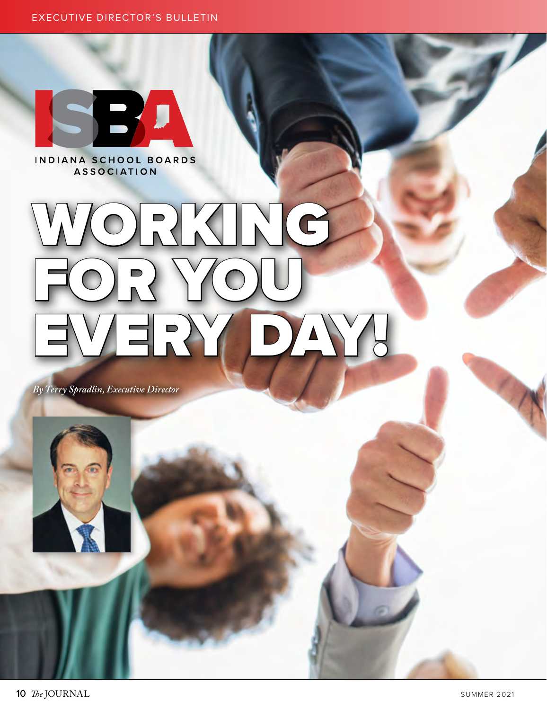

INDIANA SCHOOL BOARDS **ASSOCIATION** 

# RUX FOR YOU EVERY DAY!

*By Terry Spradlin, Executive Director*



10 The JOURNAL SUMMER 2021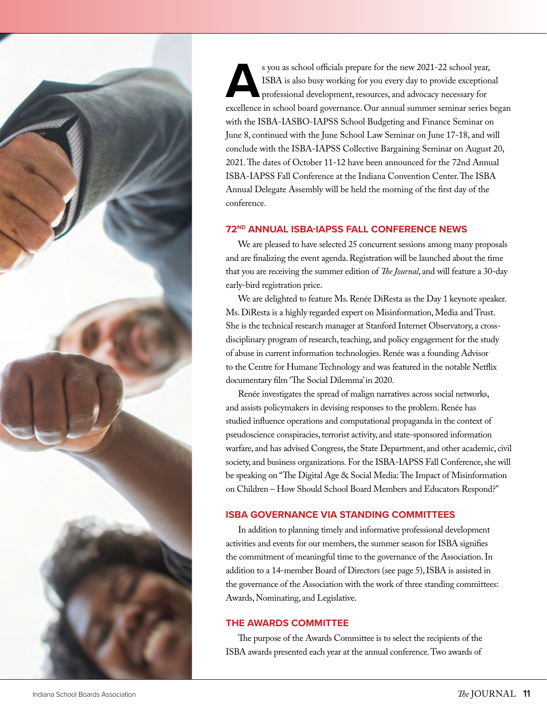

s you as school officials prepare for the new 2021-22 school year,<br>ISBA is also busy working for you every day to provide exception<br>professional development, resources, and advocacy necessary for<br>excellence in school board ISBA is also busy working for you every day to provide exceptional professional development, resources, and advocacy necessary for excellence in school board governance. Our annual summer seminar series began with the ISBA-IASBO-IAPSS School Budgeting and Finance Seminar on June 8, continued with the June School Law Seminar on June 17-18, and will conclude with the ISBA-IAPSS Collective Bargaining Seminar on August 20, 2021. The dates of October 11-12 have been announced for the 72nd Annual ISBA-IAPSS Fall Conference at the Indiana Convention Center. The ISBA Annual Delegate Assembly will be held the morning of the first day of the conference.

## **72ND ANNUAL ISBA-IAPSS FALL CONFERENCE NEWS**

We are pleased to have selected 25 concurrent sessions among many proposals and are finalizing the event agenda. Registration will be launched about the time that you are receiving the summer edition of *The Journal*, and will feature a 30-day early-bird registration price.

We are delighted to feature Ms. Renée DiResta as the Day 1 keynote speaker. Ms. DiResta is a highly regarded expert on Misinformation, Media and Trust. She is the technical research manager at Stanford Internet Observatory, a crossdisciplinary program of research, teaching, and policy engagement for the study of abuse in current information technologies. Renée was a founding Advisor to the Centre for Humane Technology and was featured in the notable Netflix documentary film 'The Social Dilemma' in 2020.

Renée investigates the spread of malign narratives across social networks, and assists policymakers in devising responses to the problem. Renée has studied influence operations and computational propaganda in the context of pseudoscience conspiracies, terrorist activity, and state-sponsored information warfare, and has advised Congress, the State Department, and other academic, civil society, and business organizations. For the ISBA-IAPSS Fall Conference, she will be speaking on "The Digital Age & Social Media: The Impact of Misinformation on Children – How Should School Board Members and Educators Respond?"

# **ISBA GOVERNANCE VIA STANDING COMMITTEES**

In addition to planning timely and informative professional development activities and events for our members, the summer season for ISBA signifies the commitment of meaningful time to the governance of the Association. In addition to a 14-member Board of Directors (see page 5), ISBA is assisted in the governance of the Association with the work of three standing committees: Awards, Nominating, and Legislative.

#### **THE AWARDS COMMITTEE**

The purpose of the Awards Committee is to select the recipients of the ISBA awards presented each year at the annual conference. Two awards of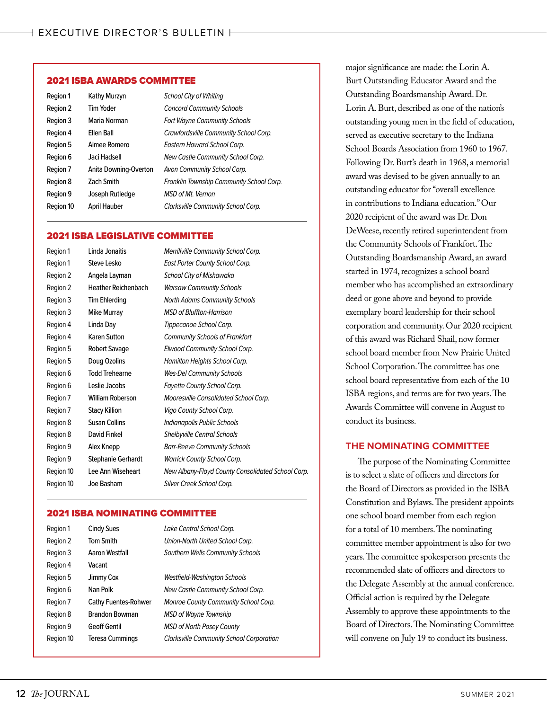#### 2021 ISBA AWARDS COMMITTEE

| Region 1  | Kathy Murzyn          | <b>School City of Whiting</b>            |
|-----------|-----------------------|------------------------------------------|
| Region 2  | Tim Yoder             | <b>Concord Community Schools</b>         |
| Region 3  | Maria Norman          | <b>Fort Wayne Community Schools</b>      |
| Region 4  | Ellen Ball            | Crawfordsville Community School Corp.    |
| Region 5  | Aimee Romero          | Eastern Howard School Corp.              |
| Region 6  | Jaci Hadsell          | New Castle Community School Corp.        |
| Region 7  | Anita Downing-Overton | Avon Community School Corp.              |
| Region 8  | <b>Zach Smith</b>     | Franklin Township Community School Corp. |
| Region 9  | Joseph Rutledge       | <b>MSD</b> of Mt. Vernon                 |
| Region 10 | <b>April Hauber</b>   | Clarksville Community School Corp.       |

#### 2021 ISBA LEGISLATIVE COMMITTEE

| Region 1  | Linda Jonaitis             | <b>Merrillville Community School Corp.</b>        |
|-----------|----------------------------|---------------------------------------------------|
| Region 1  | Steve Lesko                | East Porter County School Corp.                   |
| Region 2  | Angela Layman              | School City of Mishawaka                          |
| Region 2  | <b>Heather Reichenbach</b> | <b>Warsaw Community Schools</b>                   |
| Region 3  | <b>Tim Ehlerding</b>       | <b>North Adams Community Schools</b>              |
| Region 3  | Mike Murray                | <b>MSD</b> of Bluffton-Harrison                   |
| Region 4  | Linda Day                  | Tippecanoe School Corp.                           |
| Region 4  | Karen Sutton               | <b>Community Schools of Frankfort</b>             |
| Region 5  | Robert Savage              | <b>Elwood Community School Corp.</b>              |
| Region 5  | Doug Ozolins               | <b>Hamilton Heights School Corp.</b>              |
| Region 6  | <b>Todd Trehearne</b>      | <b>Wes-Del Community Schools</b>                  |
| Region 6  | Leslie Jacobs              | <b>Fayette County School Corp.</b>                |
| Region 7  | William Roberson           | <b>Mooresville Consolidated School Corp.</b>      |
| Region 7  | <b>Stacy Killion</b>       | Vigo County School Corp.                          |
| Region 8  | <b>Susan Collins</b>       | Indianapolis Public Schools                       |
| Region 8  | David Finkel               | <b>Shelbyville Central Schools</b>                |
| Region 9  | Alex Knepp                 | <b>Barr-Reeve Community Schools</b>               |
| Region 9  | Stephanie Gerhardt         | <b>Warrick County School Corp.</b>                |
| Region 10 | Lee Ann Wiseheart          | New Albany-Floyd County Consolidated School Corp. |
| Region 10 | Joe Basham                 | Silver Creek School Corp.                         |
|           |                            |                                                   |

#### 2021 ISBA NOMINATING COMMITTEE

| Region 1  | <b>Cindy Sues</b>           | Lake Central School Corp.                       |
|-----------|-----------------------------|-------------------------------------------------|
| Region 2  | <b>Tom Smith</b>            | Union-North United School Corp.                 |
| Region 3  | Aaron Westfall              | <b>Southern Wells Community Schools</b>         |
| Region 4  | Vacant                      |                                                 |
| Region 5  | Jimmy Cox                   | <b>Westfield-Washington Schools</b>             |
| Region 6  | Nan Polk                    | <b>New Castle Community School Corp.</b>        |
| Region 7  | <b>Cathy Fuentes-Rohwer</b> | Monroe County Community School Corp.            |
| Region 8  | <b>Brandon Bowman</b>       | <b>MSD of Wayne Township</b>                    |
| Region 9  | <b>Geoff Gentil</b>         | <b>MSD of North Posey County</b>                |
| Region 10 | <b>Teresa Cummings</b>      | <b>Clarksville Community School Corporation</b> |
|           |                             |                                                 |

major significance are made: the Lorin A. Burt Outstanding Educator Award and the Outstanding Boardsmanship Award. Dr. Lorin A. Burt, described as one of the nation's outstanding young men in the field of education, served as executive secretary to the Indiana School Boards Association from 1960 to 1967. Following Dr. Burt's death in 1968, a memorial award was devised to be given annually to an outstanding educator for "overall excellence in contributions to Indiana education." Our 2020 recipient of the award was Dr. Don DeWeese, recently retired superintendent from the Community Schools of Frankfort. The Outstanding Boardsmanship Award, an award started in 1974, recognizes a school board member who has accomplished an extraordinary deed or gone above and beyond to provide exemplary board leadership for their school corporation and community. Our 2020 recipient of this award was Richard Shail, now former school board member from New Prairie United School Corporation. The committee has one school board representative from each of the 10 ISBA regions, and terms are for two years. The Awards Committee will convene in August to conduct its business.

# **THE NOMINATING COMMITTEE**

The purpose of the Nominating Committee is to select a slate of officers and directors for the Board of Directors as provided in the ISBA Constitution and Bylaws. The president appoints one school board member from each region for a total of 10 members. The nominating committee member appointment is also for two years. The committee spokesperson presents the recommended slate of officers and directors to the Delegate Assembly at the annual conference. Official action is required by the Delegate Assembly to approve these appointments to the Board of Directors. The Nominating Committee will convene on July 19 to conduct its business.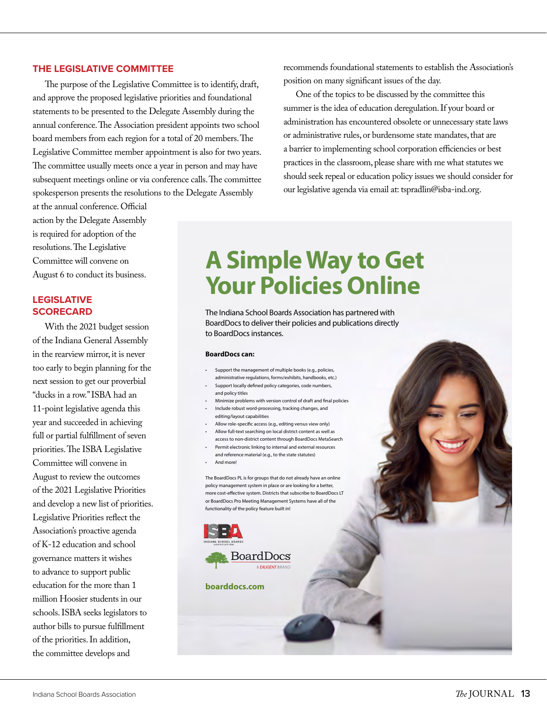#### **THE LEGISLATIVE COMMITTEE**

The purpose of the Legislative Committee is to identify, draft, and approve the proposed legislative priorities and foundational statements to be presented to the Delegate Assembly during the annual conference. The Association president appoints two school board members from each region for a total of 20 members. The Legislative Committee member appointment is also for two years. The committee usually meets once a year in person and may have subsequent meetings online or via conference calls. The committee spokesperson presents the resolutions to the Delegate Assembly

at the annual conference. Official action by the Delegate Assembly is required for adoption of the resolutions. The Legislative Committee will convene on August 6 to conduct its business.

# **LEGISLATIVE SCORECARD**

With the 2021 budget session of the Indiana General Assembly in the rearview mirror, it is never too early to begin planning for the next session to get our proverbial "ducks in a row." ISBA had an 11-point legislative agenda this year and succeeded in achieving full or partial fulfillment of seven priorities. The ISBA Legislative Committee will convene in August to review the outcomes of the 2021 Legislative Priorities and develop a new list of priorities. Legislative Priorities reflect the Association's proactive agenda of K-12 education and school governance matters it wishes to advance to support public education for the more than 1 million Hoosier students in our schools. ISBA seeks legislators to author bills to pursue fulfillment of the priorities. In addition, the committee develops and

recommends foundational statements to establish the Association's position on many significant issues of the day.

One of the topics to be discussed by the committee this summer is the idea of education deregulation. If your board or administration has encountered obsolete or unnecessary state laws or administrative rules, or burdensome state mandates, that are a barrier to implementing school corporation efficiencies or best practices in the classroom, please share with me what statutes we should seek repeal or education policy issues we should consider for our legislative agenda via email at: tspradlin@isba-ind.org.

# **A Simple Way to Get Your Policies Online**

The Indiana School Boards Association has partnered with BoardDocs to deliver their policies and publications directly to BoardDocs instances.

#### **BoardDocs can:**

- Support the management of multiple books (e.g., policies, administrative regulations, forms/exhibits, handbooks, etc.)
- Support locally defined policy categories, code numbers, and policy titles
- Minimize problems with version control of draft and final policies • Include robust word-processing, tracking changes, and
- editing/layout capabilities
- Allow role-specific access (e.g., editing versus view only) • Allow full-text searching on local district content as well as
- access to non-district content through BoardDocs MetaSearch • Permit electronic linking to internal and external resources
- and reference material (e.g., to the state statutes) • And more!
- 

The BoardDocs PL is for groups that do not already have an online policy management system in place or are looking for a better, more cost-effective system. Districts that subscribe to BoardDocs LT or BoardDocs Pro Meeting Management Systems have all of the functionality of the policy feature built in!



**boarddocs.com**